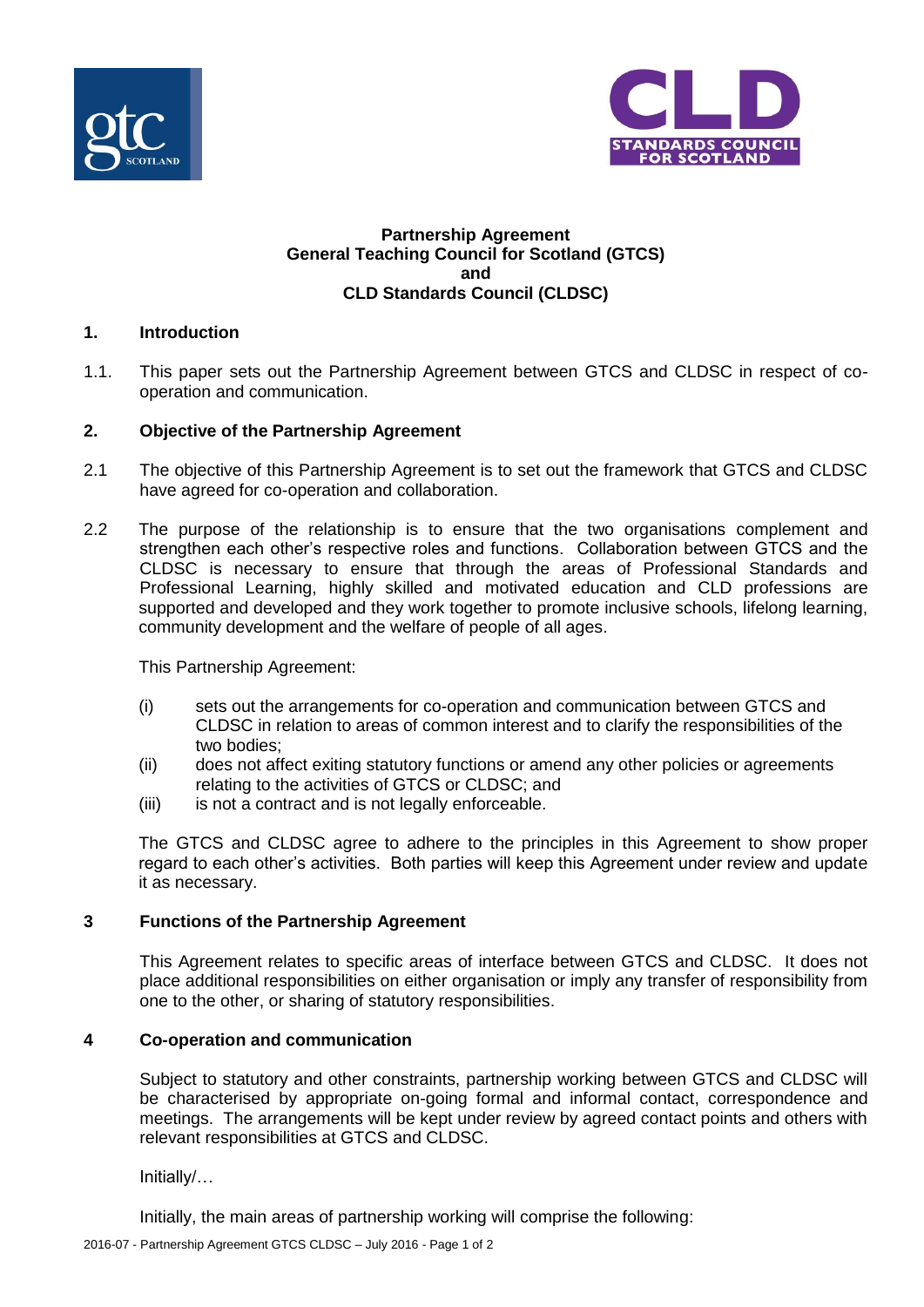



## **Partnership Agreement General Teaching Council for Scotland (GTCS) and CLD Standards Council (CLDSC)**

# **1. Introduction**

1.1. This paper sets out the Partnership Agreement between GTCS and CLDSC in respect of cooperation and communication.

## **2. Objective of the Partnership Agreement**

- 2.1 The objective of this Partnership Agreement is to set out the framework that GTCS and CLDSC have agreed for co-operation and collaboration.
- 2.2 The purpose of the relationship is to ensure that the two organisations complement and strengthen each other's respective roles and functions. Collaboration between GTCS and the CLDSC is necessary to ensure that through the areas of Professional Standards and Professional Learning, highly skilled and motivated education and CLD professions are supported and developed and they work together to promote inclusive schools, lifelong learning, community development and the welfare of people of all ages.

This Partnership Agreement:

- (i) sets out the arrangements for co-operation and communication between GTCS and CLDSC in relation to areas of common interest and to clarify the responsibilities of the two bodies;
- (ii) does not affect exiting statutory functions or amend any other policies or agreements relating to the activities of GTCS or CLDSC; and
- (iii) is not a contract and is not legally enforceable.

The GTCS and CLDSC agree to adhere to the principles in this Agreement to show proper regard to each other's activities. Both parties will keep this Agreement under review and update it as necessary.

#### **3 Functions of the Partnership Agreement**

This Agreement relates to specific areas of interface between GTCS and CLDSC. It does not place additional responsibilities on either organisation or imply any transfer of responsibility from one to the other, or sharing of statutory responsibilities.

#### **4 Co-operation and communication**

Subject to statutory and other constraints, partnership working between GTCS and CLDSC will be characterised by appropriate on-going formal and informal contact, correspondence and meetings. The arrangements will be kept under review by agreed contact points and others with relevant responsibilities at GTCS and CLDSC.

Initially/…

Initially, the main areas of partnership working will comprise the following: